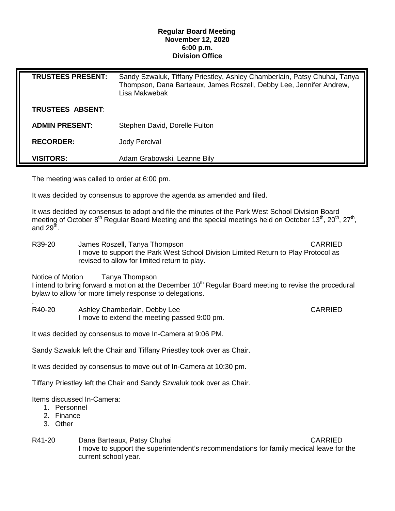## **Regular Board Meeting November 12, 2020 6:00 p.m. Division Office**

| <b>TRUSTEES PRESENT:</b> | Sandy Szwaluk, Tiffany Priestley, Ashley Chamberlain, Patsy Chuhai, Tanya<br>Thompson, Dana Barteaux, James Roszell, Debby Lee, Jennifer Andrew,<br>Lisa Makwebak |
|--------------------------|-------------------------------------------------------------------------------------------------------------------------------------------------------------------|
| TRUSTEES ABSENT:         |                                                                                                                                                                   |
| <b>ADMIN PRESENT:</b>    | Stephen David, Dorelle Fulton                                                                                                                                     |
| <b>RECORDER:</b>         | Jody Percival                                                                                                                                                     |
| <b>VISITORS:</b>         | Adam Grabowski, Leanne Bily                                                                                                                                       |

The meeting was called to order at 6:00 pm.

It was decided by consensus to approve the agenda as amended and filed.

It was decided by consensus to adopt and file the minutes of the Park West School Division Board meeting of October 8<sup>th</sup> Regular Board Meeting and the special meetings held on October 13<sup>th</sup>, 20<sup>th</sup>, 27<sup>th</sup>, and  $29<sup>th</sup>$ .

R39-20 James Roszell, Tanya Thompson CARRIED I move to support the Park West School Division Limited Return to Play Protocol as revised to allow for limited return to play.

Notice of Motion Tanya Thompson

I intend to bring forward a motion at the December  $10<sup>th</sup>$  Regular Board meeting to revise the procedural bylaw to allow for more timely response to delegations.

. R40-20 Ashley Chamberlain, Debby Lee CARRIED I move to extend the meeting passed 9:00 pm.

It was decided by consensus to move In-Camera at 9:06 PM.

Sandy Szwaluk left the Chair and Tiffany Priestley took over as Chair.

It was decided by consensus to move out of In-Camera at 10:30 pm.

Tiffany Priestley left the Chair and Sandy Szwaluk took over as Chair.

Items discussed In-Camera:

- 1. Personnel
- 2. Finance
- 3. Other
- R41-20 Dana Barteaux, Patsy Chuhai CARRIED I move to support the superintendent's recommendations for family medical leave for the current school year.